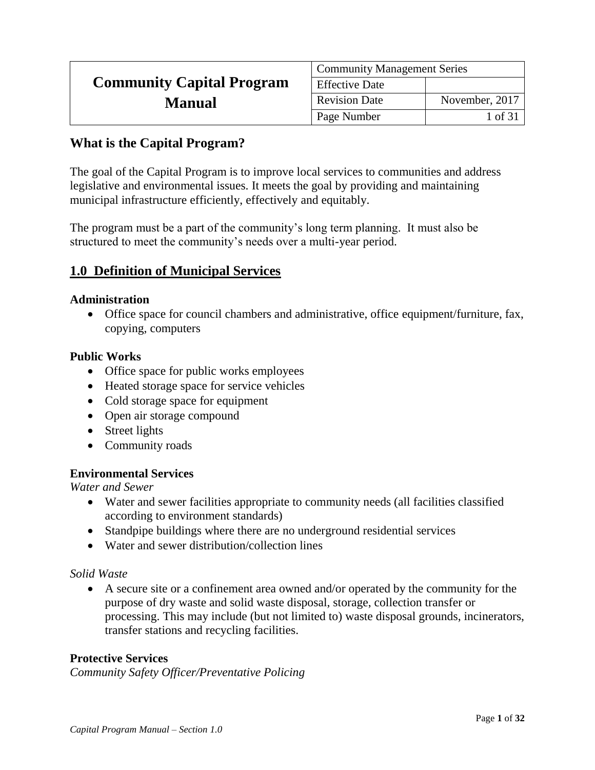|                                  | <b>Community Management Series</b> |                |  |
|----------------------------------|------------------------------------|----------------|--|
| <b>Community Capital Program</b> | <b>Effective Date</b>              |                |  |
| <b>Manual</b>                    | <b>Revision Date</b>               | November, 2017 |  |
|                                  | Page Number                        | 1 of 31        |  |

# **What is the Capital Program?**

The goal of the Capital Program is to improve local services to communities and address legislative and environmental issues. It meets the goal by providing and maintaining municipal infrastructure efficiently, effectively and equitably.

The program must be a part of the community's long term planning. It must also be structured to meet the community's needs over a multi-year period.

## **1.0 Definition of Municipal Services**

#### **Administration**

 Office space for council chambers and administrative, office equipment/furniture, fax, copying, computers

#### **Public Works**

- Office space for public works employees
- Heated storage space for service vehicles
- Cold storage space for equipment
- Open air storage compound
- Street lights
- Community roads

#### **Environmental Services**

*Water and Sewer* 

- Water and sewer facilities appropriate to community needs (all facilities classified according to environment standards)
- Standpipe buildings where there are no underground residential services
- Water and sewer distribution/collection lines

#### *Solid Waste*

 A secure site or a confinement area owned and/or operated by the community for the purpose of dry waste and solid waste disposal, storage, collection transfer or processing. This may include (but not limited to) waste disposal grounds, incinerators, transfer stations and recycling facilities.

#### **Protective Services**

*Community Safety Officer/Preventative Policing*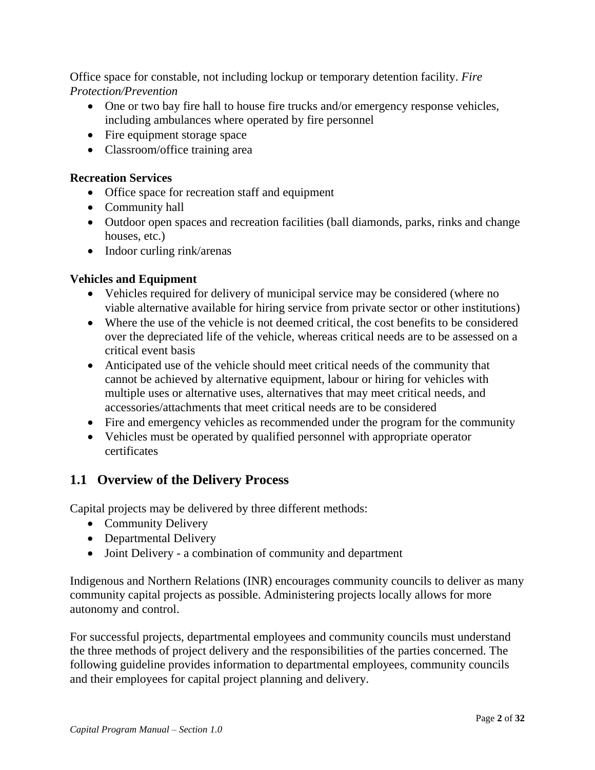Office space for constable, not including lockup or temporary detention facility. *Fire Protection/Prevention* 

- One or two bay fire hall to house fire trucks and/or emergency response vehicles, including ambulances where operated by fire personnel
- Fire equipment storage space
- Classroom/office training area

### **Recreation Services**

- Office space for recreation staff and equipment
- Community hall
- Outdoor open spaces and recreation facilities (ball diamonds, parks, rinks and change houses, etc.)
- Indoor curling rink/arenas

## **Vehicles and Equipment**

- Vehicles required for delivery of municipal service may be considered (where no viable alternative available for hiring service from private sector or other institutions)
- Where the use of the vehicle is not deemed critical, the cost benefits to be considered over the depreciated life of the vehicle, whereas critical needs are to be assessed on a critical event basis
- Anticipated use of the vehicle should meet critical needs of the community that cannot be achieved by alternative equipment, labour or hiring for vehicles with multiple uses or alternative uses, alternatives that may meet critical needs, and accessories/attachments that meet critical needs are to be considered
- Fire and emergency vehicles as recommended under the program for the community
- Vehicles must be operated by qualified personnel with appropriate operator certificates

# **1.1 Overview of the Delivery Process**

Capital projects may be delivered by three different methods:

- Community Delivery
- Departmental Delivery
- Joint Delivery a combination of community and department

Indigenous and Northern Relations (INR) encourages community councils to deliver as many community capital projects as possible. Administering projects locally allows for more autonomy and control.

For successful projects, departmental employees and community councils must understand the three methods of project delivery and the responsibilities of the parties concerned. The following guideline provides information to departmental employees, community councils and their employees for capital project planning and delivery.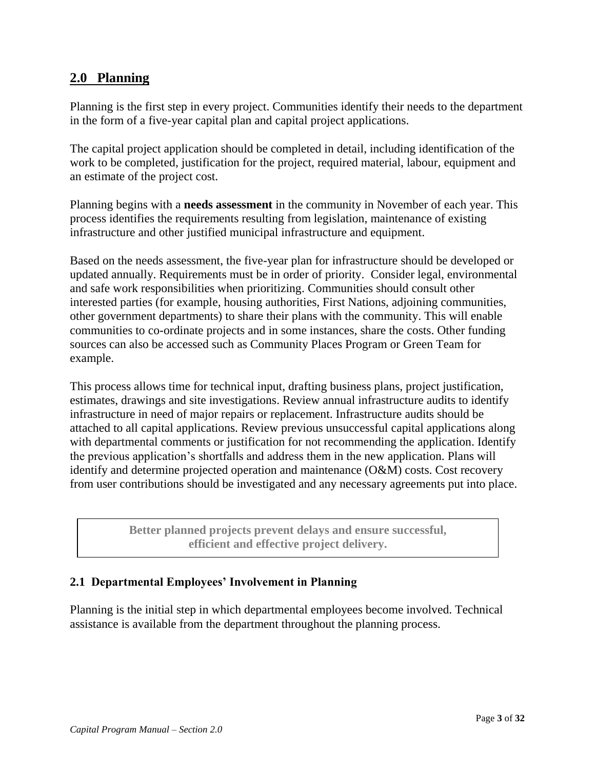## **2.0 Planning**

Planning is the first step in every project. Communities identify their needs to the department in the form of a five-year capital plan and capital project applications.

The capital project application should be completed in detail, including identification of the work to be completed, justification for the project, required material, labour, equipment and an estimate of the project cost.

Planning begins with a **needs assessment** in the community in November of each year. This process identifies the requirements resulting from legislation, maintenance of existing infrastructure and other justified municipal infrastructure and equipment.

Based on the needs assessment, the five-year plan for infrastructure should be developed or updated annually. Requirements must be in order of priority. Consider legal, environmental and safe work responsibilities when prioritizing. Communities should consult other interested parties (for example, housing authorities, First Nations, adjoining communities, other government departments) to share their plans with the community. This will enable communities to co-ordinate projects and in some instances, share the costs. Other funding sources can also be accessed such as Community Places Program or Green Team for example.

This process allows time for technical input, drafting business plans, project justification, estimates, drawings and site investigations. Review annual infrastructure audits to identify infrastructure in need of major repairs or replacement. Infrastructure audits should be attached to all capital applications. Review previous unsuccessful capital applications along with departmental comments or justification for not recommending the application. Identify the previous application's shortfalls and address them in the new application. Plans will identify and determine projected operation and maintenance (O&M) costs. Cost recovery from user contributions should be investigated and any necessary agreements put into place.

> **Better planned projects prevent delays and ensure successful, efficient and effective project delivery.**

### **2.1 Departmental Employees' Involvement in Planning**

Planning is the initial step in which departmental employees become involved. Technical assistance is available from the department throughout the planning process.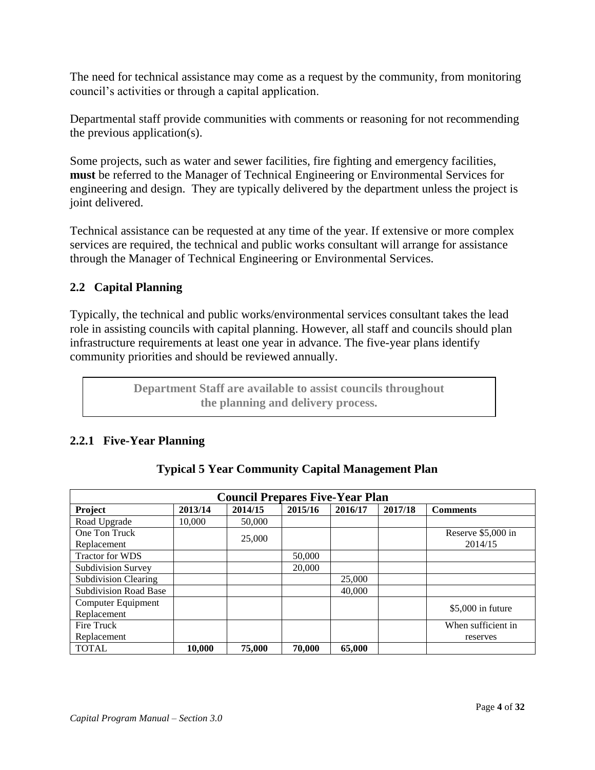The need for technical assistance may come as a request by the community, from monitoring council's activities or through a capital application.

Departmental staff provide communities with comments or reasoning for not recommending the previous application(s).

Some projects, such as water and sewer facilities, fire fighting and emergency facilities, **must** be referred to the Manager of Technical Engineering or Environmental Services for engineering and design. They are typically delivered by the department unless the project is joint delivered.

Technical assistance can be requested at any time of the year. If extensive or more complex services are required, the technical and public works consultant will arrange for assistance through the Manager of Technical Engineering or Environmental Services.

## **2.2 Capital Planning**

Typically, the technical and public works/environmental services consultant takes the lead role in assisting councils with capital planning. However, all staff and councils should plan infrastructure requirements at least one year in advance. The five-year plans identify community priorities and should be reviewed annually.

> **Department Staff are available to assist councils throughout the planning and delivery process.**

### **2.2.1 Five-Year Planning**

| <b>Council Prepares Five-Year Plan</b> |         |         |         |         |         |                    |
|----------------------------------------|---------|---------|---------|---------|---------|--------------------|
| Project                                | 2013/14 | 2014/15 | 2015/16 | 2016/17 | 2017/18 | <b>Comments</b>    |
| Road Upgrade                           | 10,000  | 50,000  |         |         |         |                    |
| One Ton Truck                          |         | 25,000  |         |         |         | Reserve \$5,000 in |
| Replacement                            |         |         |         |         |         | 2014/15            |
| <b>Tractor for WDS</b>                 |         |         | 50,000  |         |         |                    |
| Subdivision Survey                     |         |         | 20,000  |         |         |                    |
| <b>Subdivision Clearing</b>            |         |         |         | 25,000  |         |                    |
| <b>Subdivision Road Base</b>           |         |         |         | 40,000  |         |                    |
| Computer Equipment                     |         |         |         |         |         | $$5,000$ in future |
| Replacement                            |         |         |         |         |         |                    |
| Fire Truck                             |         |         |         |         |         | When sufficient in |
| Replacement                            |         |         |         |         |         | reserves           |
| <b>TOTAL</b>                           | 10,000  | 75,000  | 70,000  | 65,000  |         |                    |

#### **Typical 5 Year Community Capital Management Plan**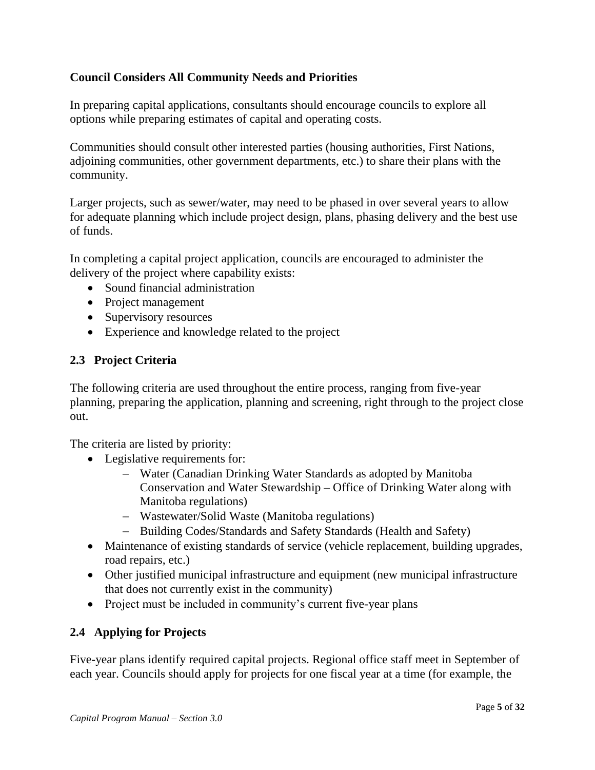### **Council Considers All Community Needs and Priorities**

In preparing capital applications, consultants should encourage councils to explore all options while preparing estimates of capital and operating costs.

Communities should consult other interested parties (housing authorities, First Nations, adjoining communities, other government departments, etc.) to share their plans with the community.

Larger projects, such as sewer/water, may need to be phased in over several years to allow for adequate planning which include project design, plans, phasing delivery and the best use of funds.

In completing a capital project application, councils are encouraged to administer the delivery of the project where capability exists:

- Sound financial administration
- Project management
- Supervisory resources
- Experience and knowledge related to the project

### **2.3 Project Criteria**

The following criteria are used throughout the entire process, ranging from five-year planning, preparing the application, planning and screening, right through to the project close out.

The criteria are listed by priority:

- Legislative requirements for:
	- Water (Canadian Drinking Water Standards as adopted by Manitoba Conservation and Water Stewardship – Office of Drinking Water along with Manitoba regulations)
	- Wastewater/Solid Waste (Manitoba regulations)
	- Building Codes/Standards and Safety Standards (Health and Safety)
- Maintenance of existing standards of service (vehicle replacement, building upgrades, road repairs, etc.)
- Other justified municipal infrastructure and equipment (new municipal infrastructure that does not currently exist in the community)
- Project must be included in community's current five-year plans

#### **2.4 Applying for Projects**

Five-year plans identify required capital projects. Regional office staff meet in September of each year. Councils should apply for projects for one fiscal year at a time (for example, the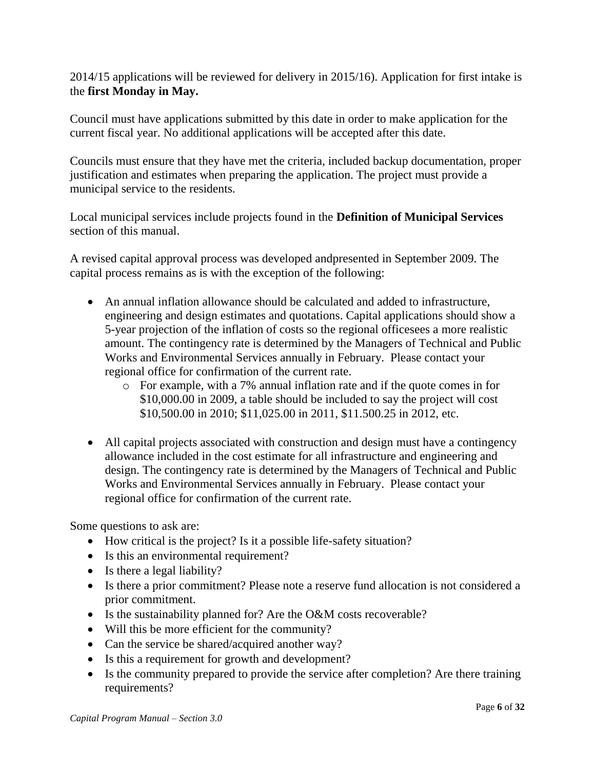2014/15 applications will be reviewed for delivery in 2015/16). Application for first intake is the **first Monday in May.**

Council must have applications submitted by this date in order to make application for the current fiscal year. No additional applications will be accepted after this date.

Councils must ensure that they have met the criteria, included backup documentation, proper justification and estimates when preparing the application. The project must provide a municipal service to the residents.

Local municipal services include projects found in the **Definition of Municipal Services**  section of this manual.

A revised capital approval process was developed andpresented in September 2009. The capital process remains as is with the exception of the following:

- An annual inflation allowance should be calculated and added to infrastructure, engineering and design estimates and quotations. Capital applications should show a 5-year projection of the inflation of costs so the regional officesees a more realistic amount. The contingency rate is determined by the Managers of Technical and Public Works and Environmental Services annually in February. Please contact your regional office for confirmation of the current rate.
	- o For example, with a 7% annual inflation rate and if the quote comes in for \$10,000.00 in 2009, a table should be included to say the project will cost \$10,500.00 in 2010; \$11,025.00 in 2011, \$11.500.25 in 2012, etc.
- All capital projects associated with construction and design must have a contingency allowance included in the cost estimate for all infrastructure and engineering and design. The contingency rate is determined by the Managers of Technical and Public Works and Environmental Services annually in February. Please contact your regional office for confirmation of the current rate.

Some questions to ask are:

- How critical is the project? Is it a possible life-safety situation?
- Is this an environmental requirement?
- Is there a legal liability?
- Is there a prior commitment? Please note a reserve fund allocation is not considered a prior commitment.
- Is the sustainability planned for? Are the O&M costs recoverable?
- Will this be more efficient for the community?
- Can the service be shared/acquired another way?
- Is this a requirement for growth and development?
- Is the community prepared to provide the service after completion? Are there training requirements?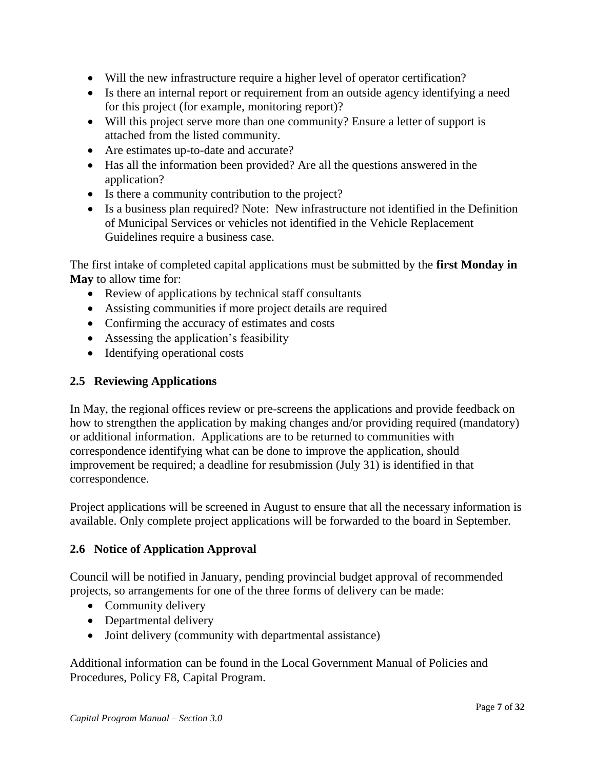- Will the new infrastructure require a higher level of operator certification?
- Is there an internal report or requirement from an outside agency identifying a need for this project (for example, monitoring report)?
- Will this project serve more than one community? Ensure a letter of support is attached from the listed community.
- Are estimates up-to-date and accurate?
- Has all the information been provided? Are all the questions answered in the application?
- Is there a community contribution to the project?
- Is a business plan required? Note: New infrastructure not identified in the Definition of Municipal Services or vehicles not identified in the Vehicle Replacement Guidelines require a business case.

The first intake of completed capital applications must be submitted by the **first Monday in May** to allow time for:

- Review of applications by technical staff consultants
- Assisting communities if more project details are required
- Confirming the accuracy of estimates and costs
- Assessing the application's feasibility
- Identifying operational costs

### **2.5 Reviewing Applications**

In May, the regional offices review or pre-screens the applications and provide feedback on how to strengthen the application by making changes and/or providing required (mandatory) or additional information. Applications are to be returned to communities with correspondence identifying what can be done to improve the application, should improvement be required; a deadline for resubmission (July 31) is identified in that correspondence.

Project applications will be screened in August to ensure that all the necessary information is available. Only complete project applications will be forwarded to the board in September.

#### **2.6 Notice of Application Approval**

Council will be notified in January, pending provincial budget approval of recommended projects, so arrangements for one of the three forms of delivery can be made:

- Community delivery
- Departmental delivery
- Joint delivery (community with departmental assistance)

Additional information can be found in the Local Government Manual of Policies and Procedures, Policy F8, Capital Program.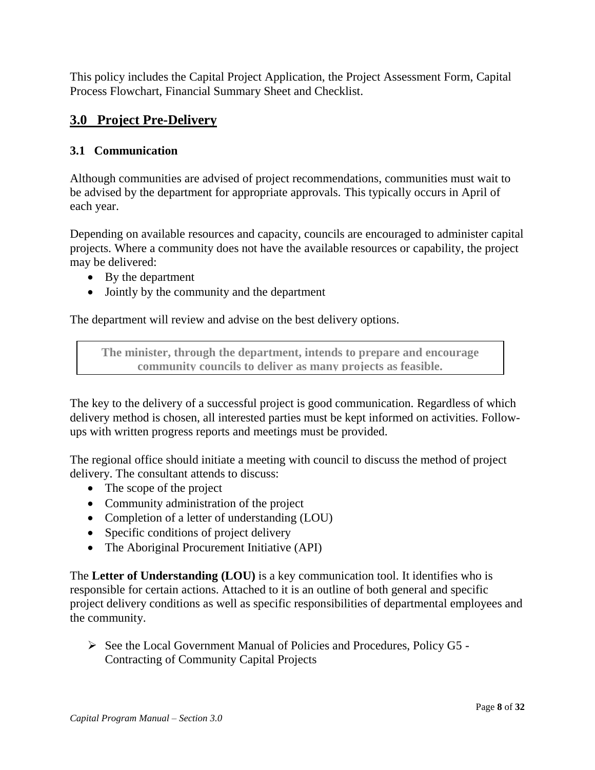This policy includes the Capital Project Application, the Project Assessment Form, Capital Process Flowchart, Financial Summary Sheet and Checklist.

# **3.0 Project Pre-Delivery**

### **3.1 Communication**

Although communities are advised of project recommendations, communities must wait to be advised by the department for appropriate approvals. This typically occurs in April of each year.

Depending on available resources and capacity, councils are encouraged to administer capital projects. Where a community does not have the available resources or capability, the project may be delivered:

- By the department
- Jointly by the community and the department

The department will review and advise on the best delivery options.

**The minister, through the department, intends to prepare and encourage community councils to deliver as many projects as feasible.**

The key to the delivery of a successful project is good communication. Regardless of which delivery method is chosen, all interested parties must be kept informed on activities. Followups with written progress reports and meetings must be provided.

The regional office should initiate a meeting with council to discuss the method of project delivery. The consultant attends to discuss:

- The scope of the project
- Community administration of the project
- Completion of a letter of understanding (LOU)
- Specific conditions of project delivery
- The Aboriginal Procurement Initiative (API)

The **Letter of Understanding (LOU)** is a key communication tool. It identifies who is responsible for certain actions. Attached to it is an outline of both general and specific project delivery conditions as well as specific responsibilities of departmental employees and the community.

 $\triangleright$  See the Local Government Manual of Policies and Procedures, Policy G5 -Contracting of Community Capital Projects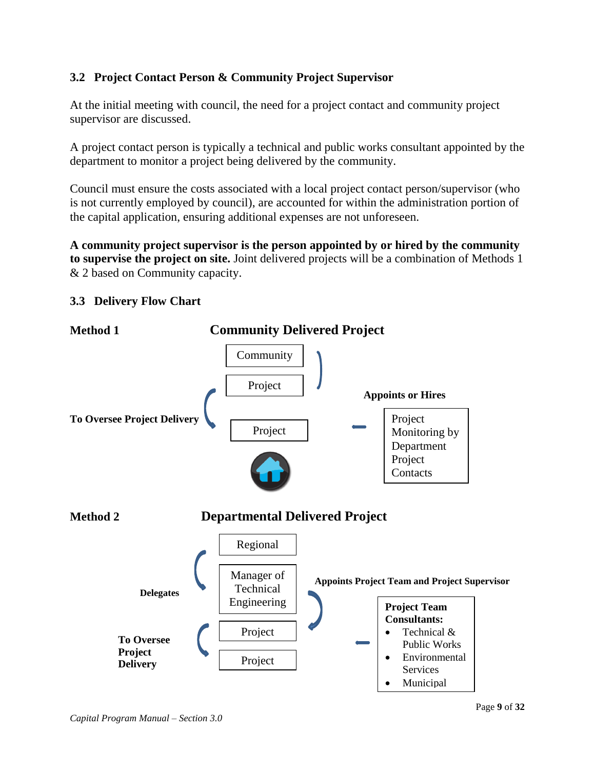## **3.2 Project Contact Person & Community Project Supervisor**

At the initial meeting with council, the need for a project contact and community project supervisor are discussed.

A project contact person is typically a technical and public works consultant appointed by the department to monitor a project being delivered by the community.

Council must ensure the costs associated with a local project contact person/supervisor (who is not currently employed by council), are accounted for within the administration portion of the capital application, ensuring additional expenses are not unforeseen.

**A community project supervisor is the person appointed by or hired by the community to supervise the project on site.** Joint delivered projects will be a combination of Methods 1 & 2 based on Community capacity.

### **3.3 Delivery Flow Chart**

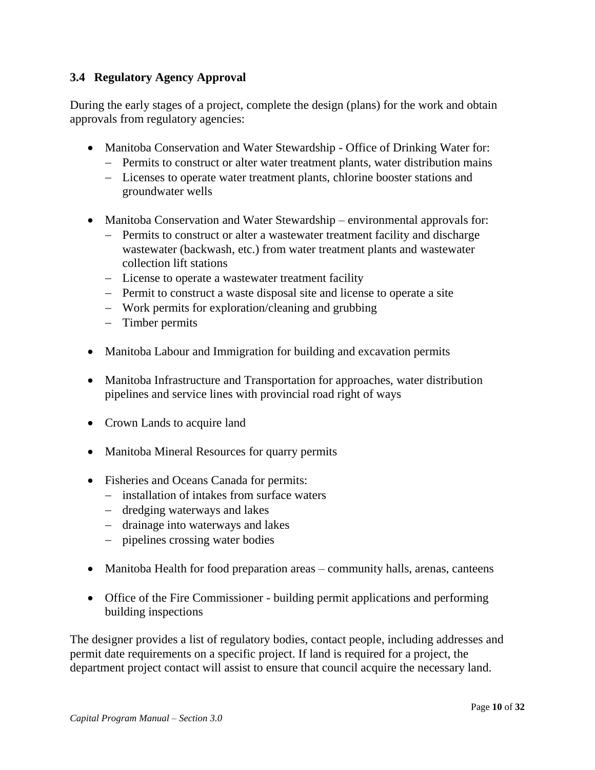### **3.4 Regulatory Agency Approval**

During the early stages of a project, complete the design (plans) for the work and obtain approvals from regulatory agencies:

- Manitoba Conservation and Water Stewardship Office of Drinking Water for:
	- Permits to construct or alter water treatment plants, water distribution mains
	- Licenses to operate water treatment plants, chlorine booster stations and groundwater wells
- Manitoba Conservation and Water Stewardship environmental approvals for:
	- Permits to construct or alter a wastewater treatment facility and discharge wastewater (backwash, etc.) from water treatment plants and wastewater collection lift stations
	- License to operate a wastewater treatment facility
	- Permit to construct a waste disposal site and license to operate a site
	- Work permits for exploration/cleaning and grubbing
	- Timber permits
- Manitoba Labour and Immigration for building and excavation permits
- Manitoba Infrastructure and Transportation for approaches, water distribution pipelines and service lines with provincial road right of ways
- Crown Lands to acquire land
- Manitoba Mineral Resources for quarry permits
- Fisheries and Oceans Canada for permits:
	- $\overline{\phantom{a}}$  installation of intakes from surface waters
	- dredging waterways and lakes
	- drainage into waterways and lakes
	- pipelines crossing water bodies
- Manitoba Health for food preparation areas community halls, arenas, canteens
- Office of the Fire Commissioner building permit applications and performing building inspections

The designer provides a list of regulatory bodies, contact people, including addresses and permit date requirements on a specific project. If land is required for a project, the department project contact will assist to ensure that council acquire the necessary land.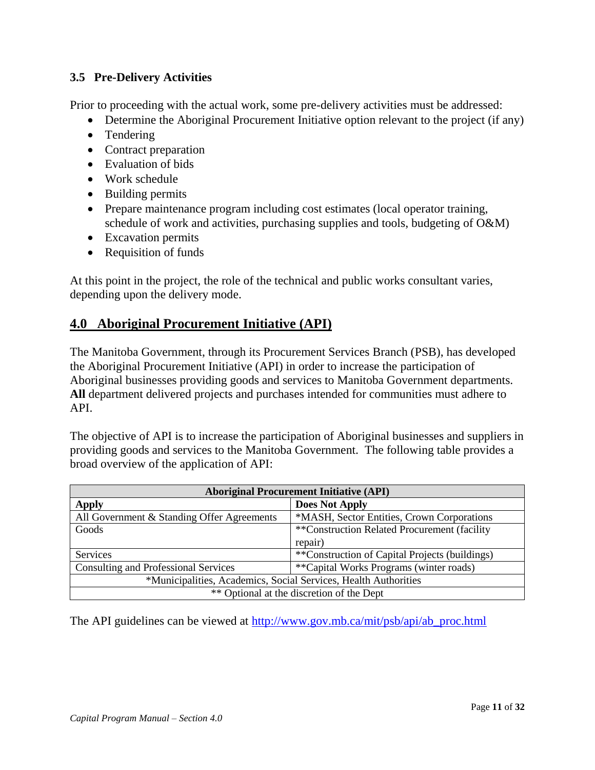### **3.5 Pre-Delivery Activities**

Prior to proceeding with the actual work, some pre-delivery activities must be addressed:

- Determine the Aboriginal Procurement Initiative option relevant to the project (if any)
- Tendering
- Contract preparation
- Evaluation of bids
- Work schedule
- Building permits
- Prepare maintenance program including cost estimates (local operator training, schedule of work and activities, purchasing supplies and tools, budgeting of O&M)
- Excavation permits
- Requisition of funds

At this point in the project, the role of the technical and public works consultant varies, depending upon the delivery mode.

## **4.0 Aboriginal Procurement Initiative (API)**

The Manitoba Government, through its Procurement Services Branch (PSB), has developed the Aboriginal Procurement Initiative (API) in order to increase the participation of Aboriginal businesses providing goods and services to Manitoba Government departments. **All** department delivered projects and purchases intended for communities must adhere to API.

The objective of API is to increase the participation of Aboriginal businesses and suppliers in providing goods and services to the Manitoba Government. The following table provides a broad overview of the application of API:

| <b>Aboriginal Procurement Initiative (API)</b>                  |                                                |  |
|-----------------------------------------------------------------|------------------------------------------------|--|
| <b>Apply</b>                                                    | <b>Does Not Apply</b>                          |  |
| All Government & Standing Offer Agreements                      | *MASH, Sector Entities, Crown Corporations     |  |
| Goods                                                           | **Construction Related Procurement (facility)  |  |
|                                                                 | repair)                                        |  |
| Services                                                        | **Construction of Capital Projects (buildings) |  |
| <b>Consulting and Professional Services</b>                     | **Capital Works Programs (winter roads)        |  |
| *Municipalities, Academics, Social Services, Health Authorities |                                                |  |
| ** Optional at the discretion of the Dept                       |                                                |  |

The API guidelines can be viewed at [http://www.gov.mb.ca/mit/psb/api/ab\\_proc.html](https://www.gov.mb.ca/mit/psb/api/ab_proc.html)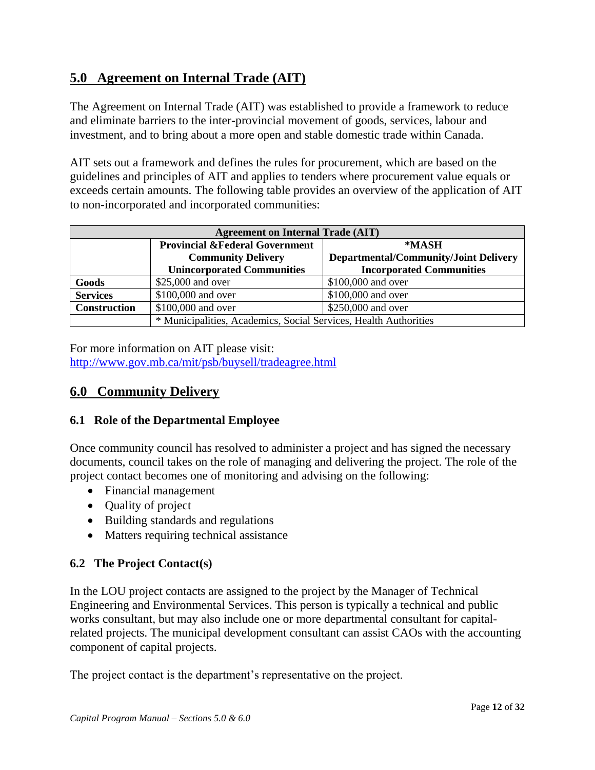# **5.0 Agreement on Internal Trade (AIT)**

The Agreement on Internal Trade (AIT) was established to provide a framework to reduce and eliminate barriers to the inter-provincial movement of goods, services, labour and investment, and to bring about a more open and stable domestic trade within Canada.

AIT sets out a framework and defines the rules for procurement, which are based on the guidelines and principles of AIT and applies to tenders where procurement value equals or exceeds certain amounts. The following table provides an overview of the application of AIT to non-incorporated and incorporated communities:

| <b>Agreement on Internal Trade (AIT)</b> |                                                                  |                                              |  |
|------------------------------------------|------------------------------------------------------------------|----------------------------------------------|--|
|                                          | <b>Provincial &amp;Federal Government</b>                        | *MASH                                        |  |
|                                          | <b>Community Delivery</b>                                        | <b>Departmental/Community/Joint Delivery</b> |  |
|                                          | <b>Unincorporated Communities</b>                                | <b>Incorporated Communities</b>              |  |
| Goods                                    | \$25,000 and over                                                | \$100,000 and over                           |  |
| <b>Services</b>                          | \$100,000 and over                                               | \$100,000 and over                           |  |
| <b>Construction</b>                      | \$100,000 and over                                               | \$250,000 and over                           |  |
|                                          | * Municipalities, Academics, Social Services, Health Authorities |                                              |  |

For more information on AIT please visit: [http://www.gov.mb.ca/mit/psb/buysell/tradeagree.html](https://www.gov.mb.ca/mit/psb/buysell/tradeagree.html)

# **6.0 Community Delivery**

### **6.1 Role of the Departmental Employee**

Once community council has resolved to administer a project and has signed the necessary documents, council takes on the role of managing and delivering the project. The role of the project contact becomes one of monitoring and advising on the following:

- Financial management
- Quality of project
- Building standards and regulations
- Matters requiring technical assistance

### **6.2 The Project Contact(s)**

In the LOU project contacts are assigned to the project by the Manager of Technical Engineering and Environmental Services. This person is typically a technical and public works consultant, but may also include one or more departmental consultant for capitalrelated projects. The municipal development consultant can assist CAOs with the accounting component of capital projects.

The project contact is the department's representative on the project.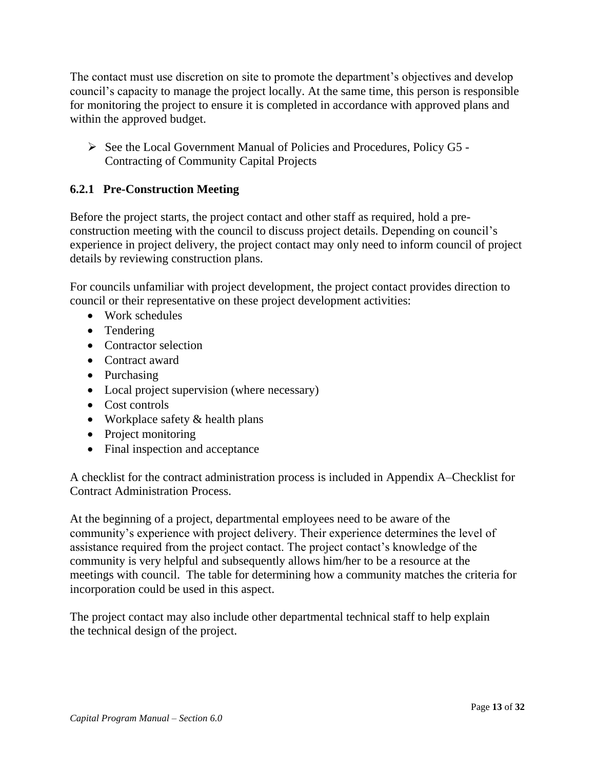The contact must use discretion on site to promote the department's objectives and develop council's capacity to manage the project locally. At the same time, this person is responsible for monitoring the project to ensure it is completed in accordance with approved plans and within the approved budget.

 $\triangleright$  See the Local Government Manual of Policies and Procedures, Policy G5 -Contracting of Community Capital Projects

### **6.2.1 Pre-Construction Meeting**

Before the project starts, the project contact and other staff as required, hold a preconstruction meeting with the council to discuss project details. Depending on council's experience in project delivery, the project contact may only need to inform council of project details by reviewing construction plans.

For councils unfamiliar with project development, the project contact provides direction to council or their representative on these project development activities:

- Work schedules
- Tendering
- Contractor selection
- Contract award
- Purchasing
- Local project supervision (where necessary)
- Cost controls
- Workplace safety  $&$  health plans
- Project monitoring
- Final inspection and acceptance

A checklist for the contract administration process is included in Appendix A–Checklist for Contract Administration Process.

At the beginning of a project, departmental employees need to be aware of the community's experience with project delivery. Their experience determines the level of assistance required from the project contact. The project contact's knowledge of the community is very helpful and subsequently allows him/her to be a resource at the meetings with council. The table for determining how a community matches the criteria for incorporation could be used in this aspect.

The project contact may also include other departmental technical staff to help explain the technical design of the project.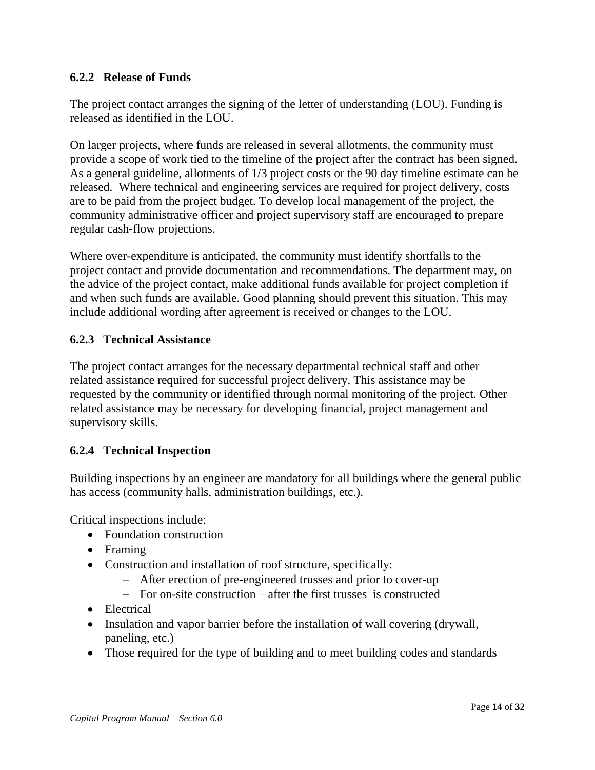### **6.2.2 Release of Funds**

The project contact arranges the signing of the letter of understanding (LOU). Funding is released as identified in the LOU.

On larger projects, where funds are released in several allotments, the community must provide a scope of work tied to the timeline of the project after the contract has been signed. As a general guideline, allotments of 1/3 project costs or the 90 day timeline estimate can be released. Where technical and engineering services are required for project delivery, costs are to be paid from the project budget. To develop local management of the project, the community administrative officer and project supervisory staff are encouraged to prepare regular cash-flow projections.

Where over-expenditure is anticipated, the community must identify shortfalls to the project contact and provide documentation and recommendations. The department may, on the advice of the project contact, make additional funds available for project completion if and when such funds are available. Good planning should prevent this situation. This may include additional wording after agreement is received or changes to the LOU.

### **6.2.3 Technical Assistance**

The project contact arranges for the necessary departmental technical staff and other related assistance required for successful project delivery. This assistance may be requested by the community or identified through normal monitoring of the project. Other related assistance may be necessary for developing financial, project management and supervisory skills.

#### **6.2.4 Technical Inspection**

Building inspections by an engineer are mandatory for all buildings where the general public has access (community halls, administration buildings, etc.).

Critical inspections include:

- Foundation construction
- Framing
- Construction and installation of roof structure, specifically:
	- After erection of pre-engineered trusses and prior to cover-up
	- $\overline{z}$  For on-site construction after the first trusses is constructed
- Electrical
- Insulation and vapor barrier before the installation of wall covering (drywall, paneling, etc.)
- Those required for the type of building and to meet building codes and standards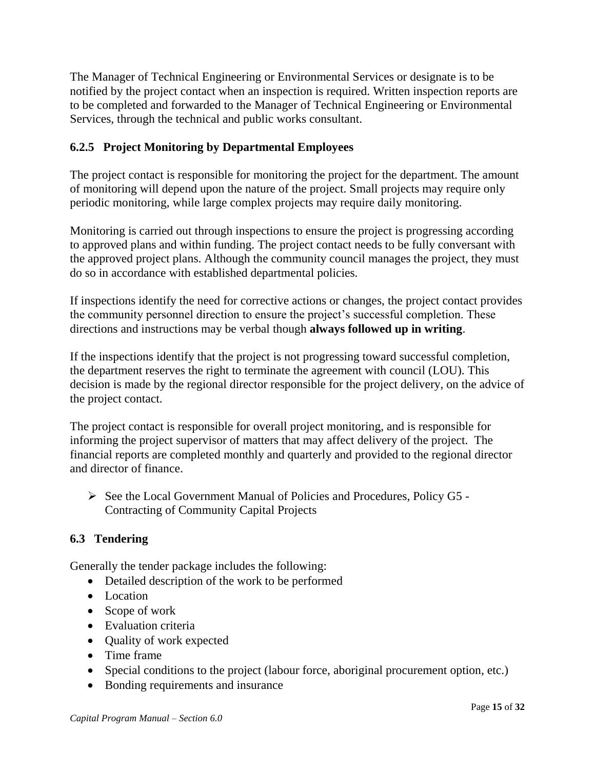The Manager of Technical Engineering or Environmental Services or designate is to be notified by the project contact when an inspection is required. Written inspection reports are to be completed and forwarded to the Manager of Technical Engineering or Environmental Services, through the technical and public works consultant.

### **6.2.5 Project Monitoring by Departmental Employees**

The project contact is responsible for monitoring the project for the department. The amount of monitoring will depend upon the nature of the project. Small projects may require only periodic monitoring, while large complex projects may require daily monitoring.

Monitoring is carried out through inspections to ensure the project is progressing according to approved plans and within funding. The project contact needs to be fully conversant with the approved project plans. Although the community council manages the project, they must do so in accordance with established departmental policies.

If inspections identify the need for corrective actions or changes, the project contact provides the community personnel direction to ensure the project's successful completion. These directions and instructions may be verbal though **always followed up in writing**.

If the inspections identify that the project is not progressing toward successful completion, the department reserves the right to terminate the agreement with council (LOU). This decision is made by the regional director responsible for the project delivery, on the advice of the project contact.

The project contact is responsible for overall project monitoring, and is responsible for informing the project supervisor of matters that may affect delivery of the project. The financial reports are completed monthly and quarterly and provided to the regional director and director of finance.

 $\triangleright$  See the Local Government Manual of Policies and Procedures, Policy G5 -Contracting of Community Capital Projects

### **6.3 Tendering**

Generally the tender package includes the following:

- Detailed description of the work to be performed
- Location
- Scope of work
- Evaluation criteria
- Quality of work expected
- Time frame
- Special conditions to the project (labour force, aboriginal procurement option, etc.)
- Bonding requirements and insurance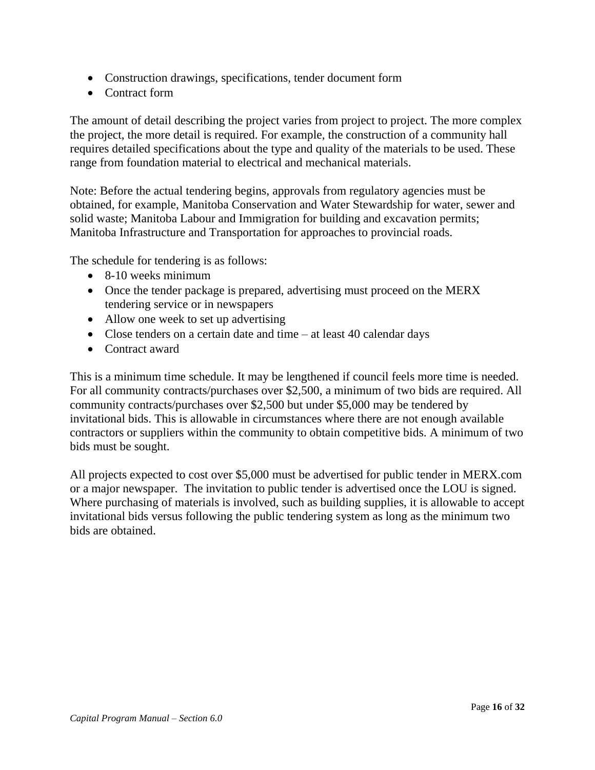- Construction drawings, specifications, tender document form
- Contract form

The amount of detail describing the project varies from project to project. The more complex the project, the more detail is required. For example, the construction of a community hall requires detailed specifications about the type and quality of the materials to be used. These range from foundation material to electrical and mechanical materials.

Note: Before the actual tendering begins, approvals from regulatory agencies must be obtained, for example, Manitoba Conservation and Water Stewardship for water, sewer and solid waste; Manitoba Labour and Immigration for building and excavation permits; Manitoba Infrastructure and Transportation for approaches to provincial roads.

The schedule for tendering is as follows:

- 8-10 weeks minimum
- Once the tender package is prepared, advertising must proceed on the MERX tendering service or in newspapers
- Allow one week to set up advertising
- Close tenders on a certain date and time at least 40 calendar days
- Contract award

This is a minimum time schedule. It may be lengthened if council feels more time is needed. For all community contracts/purchases over \$2,500, a minimum of two bids are required. All community contracts/purchases over \$2,500 but under \$5,000 may be tendered by invitational bids. This is allowable in circumstances where there are not enough available contractors or suppliers within the community to obtain competitive bids. A minimum of two bids must be sought.

All projects expected to cost over \$5,000 must be advertised for public tender in MERX.com or a major newspaper. The invitation to public tender is advertised once the LOU is signed. Where purchasing of materials is involved, such as building supplies, it is allowable to accept invitational bids versus following the public tendering system as long as the minimum two bids are obtained.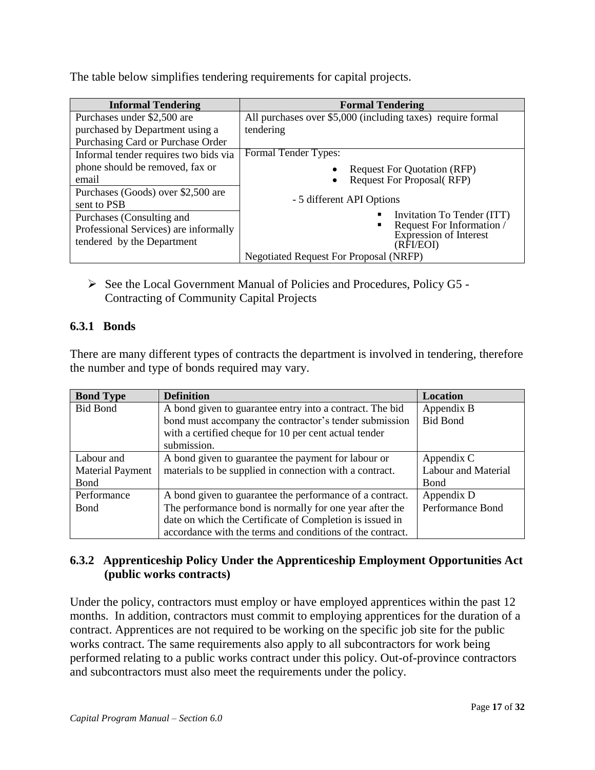The table below simplifies tendering requirements for capital projects.

| <b>Informal Tendering</b>             | <b>Formal Tendering</b>                                     |
|---------------------------------------|-------------------------------------------------------------|
| Purchases under \$2,500 are           | All purchases over \$5,000 (including taxes) require formal |
| purchased by Department using a       | tendering                                                   |
| Purchasing Card or Purchase Order     |                                                             |
| Informal tender requires two bids via | Formal Tender Types:                                        |
| phone should be removed, fax or       | <b>Request For Quotation (RFP)</b>                          |
| email                                 | Request For Proposal(RFP)<br>$\bullet$                      |
| Purchases (Goods) over \$2,500 are    |                                                             |
| sent to PSB                           | - 5 different API Options                                   |
| Purchases (Consulting and             | Invitation To Tender (ITT)                                  |
| Professional Services) are informally | Request For Information /<br>Expression of Interest         |
| tendered by the Department            | (RFI/EOI)                                                   |
|                                       | <b>Negotiated Request For Proposal (NRFP)</b>               |

 $\triangleright$  See the Local Government Manual of Policies and Procedures, Policy G5 -Contracting of Community Capital Projects

### **6.3.1 Bonds**

There are many different types of contracts the department is involved in tendering, therefore the number and type of bonds required may vary.

| <b>Bond Type</b>        | <b>Definition</b>                                         | <b>Location</b>            |
|-------------------------|-----------------------------------------------------------|----------------------------|
| <b>Bid Bond</b>         | A bond given to guarantee entry into a contract. The bid  | Appendix B                 |
|                         | bond must accompany the contractor's tender submission    | <b>Bid Bond</b>            |
|                         | with a certified cheque for 10 per cent actual tender     |                            |
|                         | submission.                                               |                            |
| Labour and              | A bond given to guarantee the payment for labour or       | Appendix C                 |
| <b>Material Payment</b> | materials to be supplied in connection with a contract.   | <b>Labour and Material</b> |
| Bond                    |                                                           | <b>B</b> ond               |
| Performance             | A bond given to guarantee the performance of a contract.  | Appendix D                 |
| Bond                    | The performance bond is normally for one year after the   | Performance Bond           |
|                         | date on which the Certificate of Completion is issued in  |                            |
|                         | accordance with the terms and conditions of the contract. |                            |

### **6.3.2 Apprenticeship Policy Under the Apprenticeship Employment Opportunities Act (public works contracts)**

Under the policy, contractors must employ or have employed apprentices within the past 12 months. In addition, contractors must commit to employing apprentices for the duration of a contract. Apprentices are not required to be working on the specific job site for the public works contract. The same requirements also apply to all subcontractors for work being performed relating to a public works contract under this policy. Out-of-province contractors and subcontractors must also meet the requirements under the policy.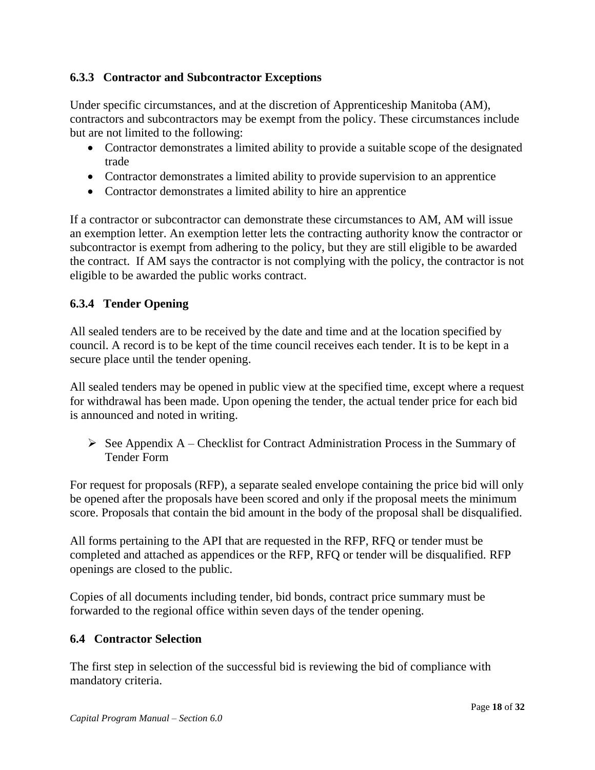### **6.3.3 Contractor and Subcontractor Exceptions**

Under specific circumstances, and at the discretion of Apprenticeship Manitoba (AM), contractors and subcontractors may be exempt from the policy. These circumstances include but are not limited to the following:

- Contractor demonstrates a limited ability to provide a suitable scope of the designated trade
- Contractor demonstrates a limited ability to provide supervision to an apprentice
- Contractor demonstrates a limited ability to hire an apprentice

If a contractor or subcontractor can demonstrate these circumstances to AM, AM will issue an exemption letter. An exemption letter lets the contracting authority know the contractor or subcontractor is exempt from adhering to the policy, but they are still eligible to be awarded the contract. If AM says the contractor is not complying with the policy, the contractor is not eligible to be awarded the public works contract.

## **6.3.4 Tender Opening**

All sealed tenders are to be received by the date and time and at the location specified by council. A record is to be kept of the time council receives each tender. It is to be kept in a secure place until the tender opening.

All sealed tenders may be opened in public view at the specified time, except where a request for withdrawal has been made. Upon opening the tender, the actual tender price for each bid is announced and noted in writing.

 $\triangleright$  See Appendix A – Checklist for Contract Administration Process in the Summary of Tender Form

For request for proposals (RFP), a separate sealed envelope containing the price bid will only be opened after the proposals have been scored and only if the proposal meets the minimum score. Proposals that contain the bid amount in the body of the proposal shall be disqualified.

All forms pertaining to the API that are requested in the RFP, RFQ or tender must be completed and attached as appendices or the RFP, RFQ or tender will be disqualified. RFP openings are closed to the public.

Copies of all documents including tender, bid bonds, contract price summary must be forwarded to the regional office within seven days of the tender opening.

### **6.4 Contractor Selection**

The first step in selection of the successful bid is reviewing the bid of compliance with mandatory criteria.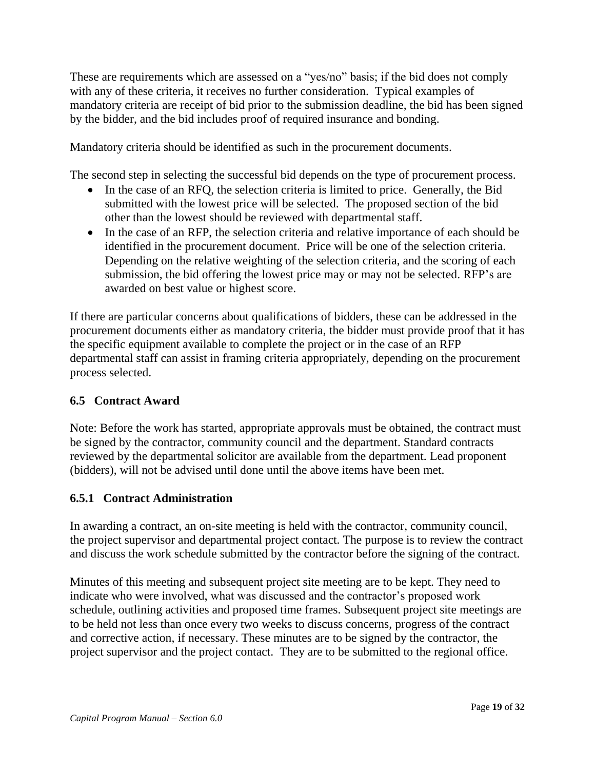These are requirements which are assessed on a "yes/no" basis; if the bid does not comply with any of these criteria, it receives no further consideration. Typical examples of mandatory criteria are receipt of bid prior to the submission deadline, the bid has been signed by the bidder, and the bid includes proof of required insurance and bonding.

Mandatory criteria should be identified as such in the procurement documents.

The second step in selecting the successful bid depends on the type of procurement process.

- In the case of an RFQ, the selection criteria is limited to price. Generally, the Bid submitted with the lowest price will be selected. The proposed section of the bid other than the lowest should be reviewed with departmental staff.
- In the case of an RFP, the selection criteria and relative importance of each should be identified in the procurement document. Price will be one of the selection criteria. Depending on the relative weighting of the selection criteria, and the scoring of each submission, the bid offering the lowest price may or may not be selected. RFP's are awarded on best value or highest score.

If there are particular concerns about qualifications of bidders, these can be addressed in the procurement documents either as mandatory criteria, the bidder must provide proof that it has the specific equipment available to complete the project or in the case of an RFP departmental staff can assist in framing criteria appropriately, depending on the procurement process selected.

### **6.5 Contract Award**

Note: Before the work has started, appropriate approvals must be obtained, the contract must be signed by the contractor, community council and the department. Standard contracts reviewed by the departmental solicitor are available from the department. Lead proponent (bidders), will not be advised until done until the above items have been met.

#### **6.5.1 Contract Administration**

In awarding a contract, an on-site meeting is held with the contractor, community council, the project supervisor and departmental project contact. The purpose is to review the contract and discuss the work schedule submitted by the contractor before the signing of the contract.

Minutes of this meeting and subsequent project site meeting are to be kept. They need to indicate who were involved, what was discussed and the contractor's proposed work schedule, outlining activities and proposed time frames. Subsequent project site meetings are to be held not less than once every two weeks to discuss concerns, progress of the contract and corrective action, if necessary. These minutes are to be signed by the contractor, the project supervisor and the project contact. They are to be submitted to the regional office.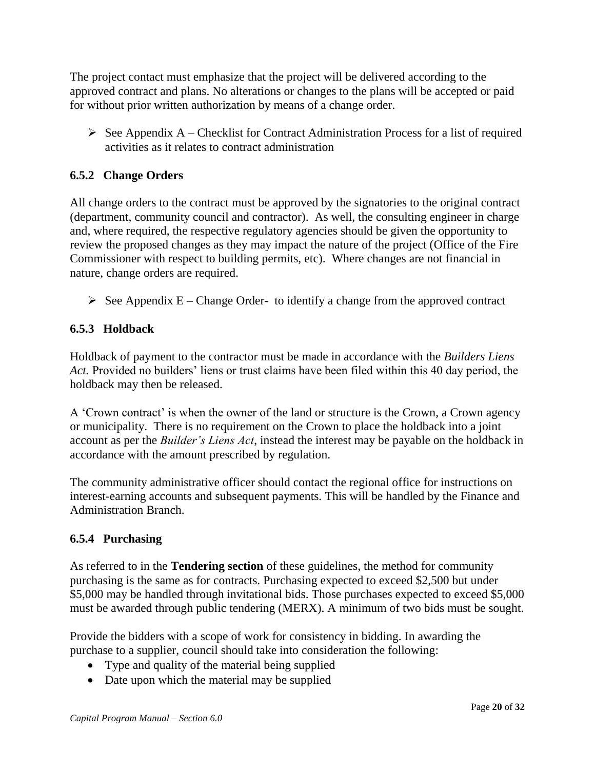The project contact must emphasize that the project will be delivered according to the approved contract and plans. No alterations or changes to the plans will be accepted or paid for without prior written authorization by means of a change order.

 $\triangleright$  See Appendix A – Checklist for Contract Administration Process for a list of required activities as it relates to contract administration

### **6.5.2 Change Orders**

All change orders to the contract must be approved by the signatories to the original contract (department, community council and contractor). As well, the consulting engineer in charge and, where required, the respective regulatory agencies should be given the opportunity to review the proposed changes as they may impact the nature of the project (Office of the Fire Commissioner with respect to building permits, etc). Where changes are not financial in nature, change orders are required.

 $\triangleright$  See Appendix E – Change Order- to identify a change from the approved contract

### **6.5.3 Holdback**

Holdback of payment to the contractor must be made in accordance with the *Builders Liens Act.* Provided no builders' liens or trust claims have been filed within this 40 day period, the holdback may then be released.

A 'Crown contract' is when the owner of the land or structure is the Crown, a Crown agency or municipality. There is no requirement on the Crown to place the holdback into a joint account as per the *Builder's Liens Act*, instead the interest may be payable on the holdback in accordance with the amount prescribed by regulation.

The community administrative officer should contact the regional office for instructions on interest-earning accounts and subsequent payments. This will be handled by the Finance and Administration Branch.

#### **6.5.4 Purchasing**

As referred to in the **Tendering section** of these guidelines, the method for community purchasing is the same as for contracts. Purchasing expected to exceed \$2,500 but under \$5,000 may be handled through invitational bids. Those purchases expected to exceed \$5,000 must be awarded through public tendering (MERX). A minimum of two bids must be sought.

Provide the bidders with a scope of work for consistency in bidding. In awarding the purchase to a supplier, council should take into consideration the following:

- Type and quality of the material being supplied
- Date upon which the material may be supplied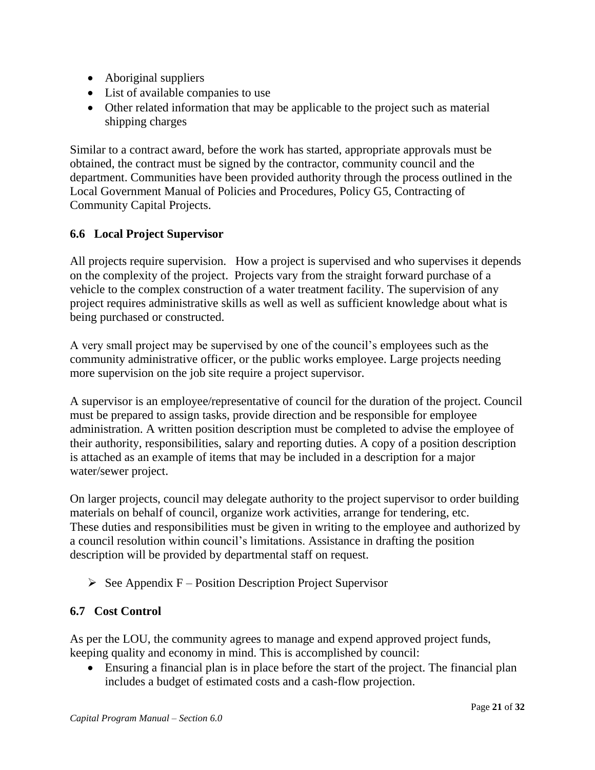- Aboriginal suppliers
- List of available companies to use
- Other related information that may be applicable to the project such as material shipping charges

Similar to a contract award, before the work has started, appropriate approvals must be obtained, the contract must be signed by the contractor, community council and the department. Communities have been provided authority through the process outlined in the Local Government Manual of Policies and Procedures, Policy G5, Contracting of Community Capital Projects.

### **6.6 Local Project Supervisor**

All projects require supervision. How a project is supervised and who supervises it depends on the complexity of the project. Projects vary from the straight forward purchase of a vehicle to the complex construction of a water treatment facility. The supervision of any project requires administrative skills as well as well as sufficient knowledge about what is being purchased or constructed.

A very small project may be supervised by one of the council's employees such as the community administrative officer, or the public works employee. Large projects needing more supervision on the job site require a project supervisor.

A supervisor is an employee/representative of council for the duration of the project. Council must be prepared to assign tasks, provide direction and be responsible for employee administration. A written position description must be completed to advise the employee of their authority, responsibilities, salary and reporting duties. A copy of a position description is attached as an example of items that may be included in a description for a major water/sewer project.

On larger projects, council may delegate authority to the project supervisor to order building materials on behalf of council, organize work activities, arrange for tendering, etc. These duties and responsibilities must be given in writing to the employee and authorized by a council resolution within council's limitations. Assistance in drafting the position description will be provided by departmental staff on request.

 $\triangleright$  See Appendix F – Position Description Project Supervisor

#### **6.7 Cost Control**

As per the LOU, the community agrees to manage and expend approved project funds, keeping quality and economy in mind. This is accomplished by council:

 Ensuring a financial plan is in place before the start of the project. The financial plan includes a budget of estimated costs and a cash-flow projection.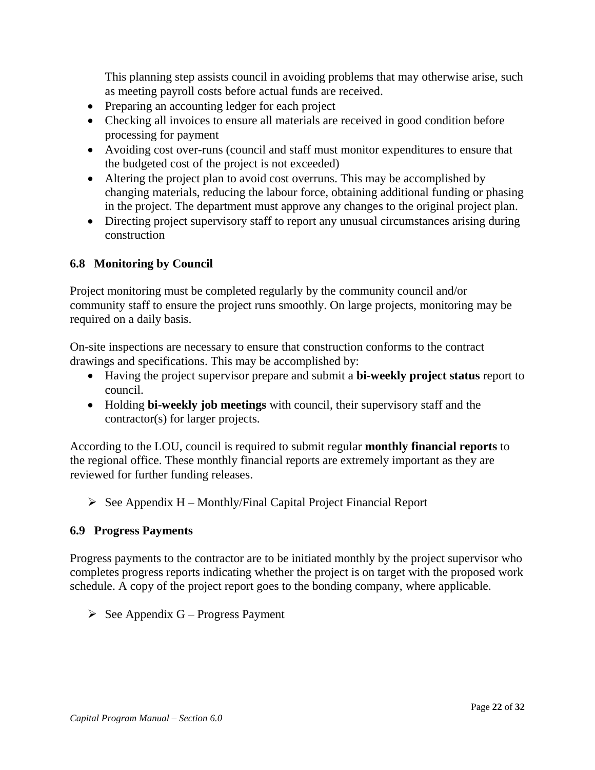This planning step assists council in avoiding problems that may otherwise arise, such as meeting payroll costs before actual funds are received.

- Preparing an accounting ledger for each project
- Checking all invoices to ensure all materials are received in good condition before processing for payment
- Avoiding cost over-runs (council and staff must monitor expenditures to ensure that the budgeted cost of the project is not exceeded)
- Altering the project plan to avoid cost overruns. This may be accomplished by changing materials, reducing the labour force, obtaining additional funding or phasing in the project. The department must approve any changes to the original project plan.
- Directing project supervisory staff to report any unusual circumstances arising during construction

### **6.8 Monitoring by Council**

Project monitoring must be completed regularly by the community council and/or community staff to ensure the project runs smoothly. On large projects, monitoring may be required on a daily basis.

On-site inspections are necessary to ensure that construction conforms to the contract drawings and specifications. This may be accomplished by:

- Having the project supervisor prepare and submit a **bi-weekly project status** report to council.
- Holding **bi-weekly job meetings** with council, their supervisory staff and the contractor(s) for larger projects.

According to the LOU, council is required to submit regular **monthly financial reports** to the regional office. These monthly financial reports are extremely important as they are reviewed for further funding releases.

 $\triangleright$  See Appendix H – Monthly/Final Capital Project Financial Report

#### **6.9 Progress Payments**

Progress payments to the contractor are to be initiated monthly by the project supervisor who completes progress reports indicating whether the project is on target with the proposed work schedule. A copy of the project report goes to the bonding company, where applicable.

 $\triangleright$  See Appendix G – Progress Payment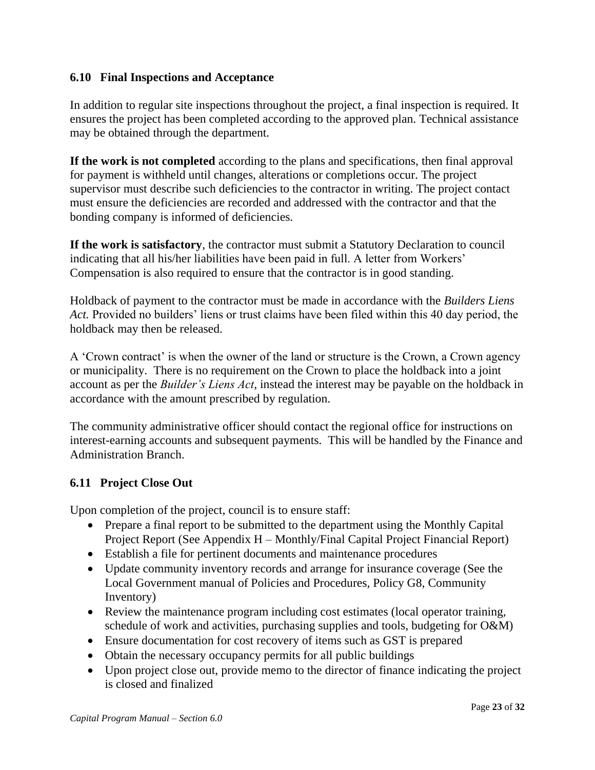### **6.10 Final Inspections and Acceptance**

In addition to regular site inspections throughout the project, a final inspection is required. It ensures the project has been completed according to the approved plan. Technical assistance may be obtained through the department.

**If the work is not completed** according to the plans and specifications, then final approval for payment is withheld until changes, alterations or completions occur. The project supervisor must describe such deficiencies to the contractor in writing. The project contact must ensure the deficiencies are recorded and addressed with the contractor and that the bonding company is informed of deficiencies.

**If the work is satisfactory**, the contractor must submit a Statutory Declaration to council indicating that all his/her liabilities have been paid in full. A letter from Workers' Compensation is also required to ensure that the contractor is in good standing.

Holdback of payment to the contractor must be made in accordance with the *Builders Liens Act.* Provided no builders' liens or trust claims have been filed within this 40 day period, the holdback may then be released.

A 'Crown contract' is when the owner of the land or structure is the Crown, a Crown agency or municipality. There is no requirement on the Crown to place the holdback into a joint account as per the *Builder's Liens Act*, instead the interest may be payable on the holdback in accordance with the amount prescribed by regulation.

The community administrative officer should contact the regional office for instructions on interest-earning accounts and subsequent payments. This will be handled by the Finance and Administration Branch.

### **6.11 Project Close Out**

Upon completion of the project, council is to ensure staff:

- Prepare a final report to be submitted to the department using the Monthly Capital Project Report (See Appendix H – Monthly/Final Capital Project Financial Report)
- Establish a file for pertinent documents and maintenance procedures
- Update community inventory records and arrange for insurance coverage (See the Local Government manual of Policies and Procedures, Policy G8, Community Inventory)
- Review the maintenance program including cost estimates (local operator training, schedule of work and activities, purchasing supplies and tools, budgeting for O&M)
- Ensure documentation for cost recovery of items such as GST is prepared
- Obtain the necessary occupancy permits for all public buildings
- Upon project close out, provide memo to the director of finance indicating the project is closed and finalized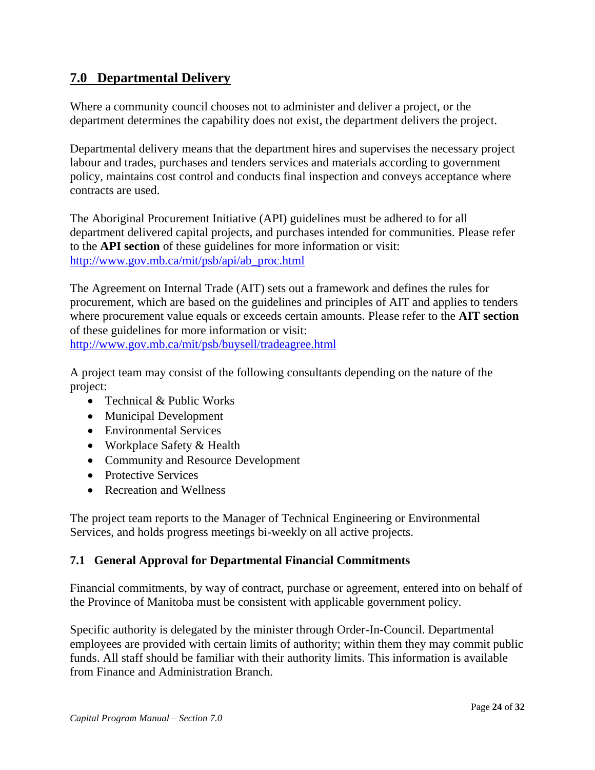# **7.0 Departmental Delivery**

Where a community council chooses not to administer and deliver a project, or the department determines the capability does not exist, the department delivers the project.

Departmental delivery means that the department hires and supervises the necessary project labour and trades, purchases and tenders services and materials according to government policy, maintains cost control and conducts final inspection and conveys acceptance where contracts are used.

The Aboriginal Procurement Initiative (API) guidelines must be adhered to for all department delivered capital projects, and purchases intended for communities. Please refer to the **API section** of these guidelines for more information or visit: [http://www.gov.mb.ca/mit/psb/api/ab\\_proc.html](https://www.gov.mb.ca/mit/psb/api/ab_proc.html)

The Agreement on Internal Trade (AIT) sets out a framework and defines the rules for procurement, which are based on the guidelines and principles of AIT and applies to tenders where procurement value equals or exceeds certain amounts. Please refer to the **AIT section** of these guidelines for more information or visit:

[http://www.gov.mb.ca/mit/psb/buysell/tradeagree.html](https://www.gov.mb.ca/mit/psb/buysell/tradeagree.html)

A project team may consist of the following consultants depending on the nature of the project:

- Technical & Public Works
- Municipal Development
- Environmental Services
- Workplace Safety & Health
- Community and Resource Development
- Protective Services
- Recreation and Wellness

The project team reports to the Manager of Technical Engineering or Environmental Services, and holds progress meetings bi-weekly on all active projects.

#### **7.1 General Approval for Departmental Financial Commitments**

Financial commitments, by way of contract, purchase or agreement, entered into on behalf of the Province of Manitoba must be consistent with applicable government policy.

Specific authority is delegated by the minister through Order-In-Council. Departmental employees are provided with certain limits of authority; within them they may commit public funds. All staff should be familiar with their authority limits. This information is available from Finance and Administration Branch.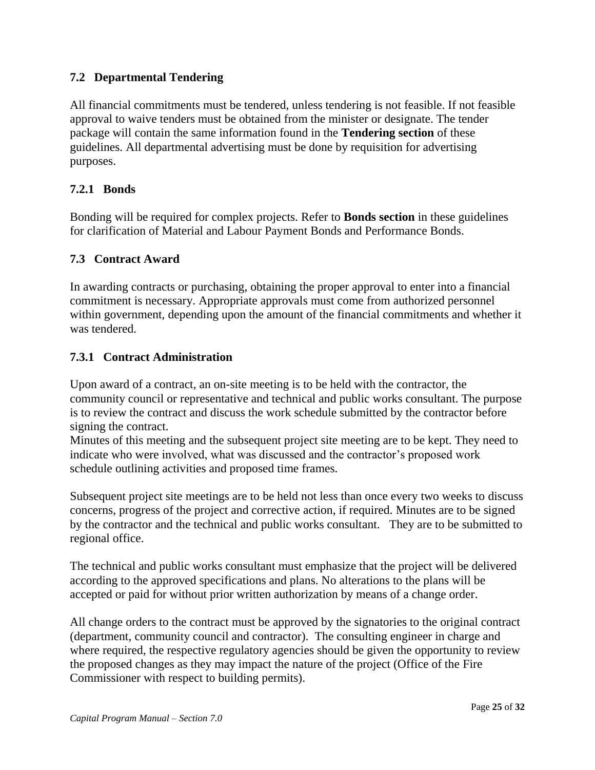### **7.2 Departmental Tendering**

All financial commitments must be tendered, unless tendering is not feasible. If not feasible approval to waive tenders must be obtained from the minister or designate. The tender package will contain the same information found in the **Tendering section** of these guidelines. All departmental advertising must be done by requisition for advertising purposes.

#### **7.2.1 Bonds**

Bonding will be required for complex projects. Refer to **Bonds section** in these guidelines for clarification of Material and Labour Payment Bonds and Performance Bonds.

### **7.3 Contract Award**

In awarding contracts or purchasing, obtaining the proper approval to enter into a financial commitment is necessary. Appropriate approvals must come from authorized personnel within government, depending upon the amount of the financial commitments and whether it was tendered.

#### **7.3.1 Contract Administration**

Upon award of a contract, an on-site meeting is to be held with the contractor, the community council or representative and technical and public works consultant. The purpose is to review the contract and discuss the work schedule submitted by the contractor before signing the contract.

Minutes of this meeting and the subsequent project site meeting are to be kept. They need to indicate who were involved, what was discussed and the contractor's proposed work schedule outlining activities and proposed time frames.

Subsequent project site meetings are to be held not less than once every two weeks to discuss concerns, progress of the project and corrective action, if required. Minutes are to be signed by the contractor and the technical and public works consultant. They are to be submitted to regional office.

The technical and public works consultant must emphasize that the project will be delivered according to the approved specifications and plans. No alterations to the plans will be accepted or paid for without prior written authorization by means of a change order.

All change orders to the contract must be approved by the signatories to the original contract (department, community council and contractor). The consulting engineer in charge and where required, the respective regulatory agencies should be given the opportunity to review the proposed changes as they may impact the nature of the project (Office of the Fire Commissioner with respect to building permits).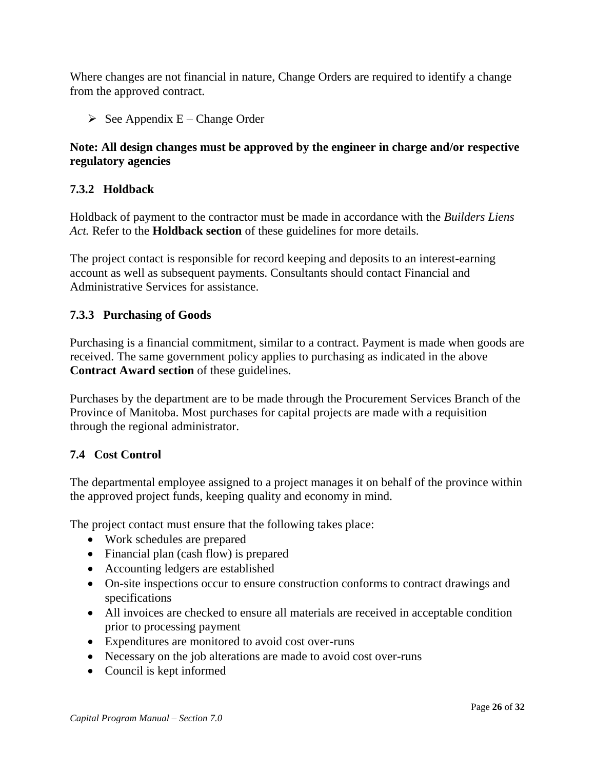Where changes are not financial in nature, Change Orders are required to identify a change from the approved contract.

 $\triangleright$  See Appendix E – Change Order

### **Note: All design changes must be approved by the engineer in charge and/or respective regulatory agencies**

### **7.3.2 Holdback**

Holdback of payment to the contractor must be made in accordance with the *Builders Liens Act.* Refer to the **Holdback section** of these guidelines for more details.

The project contact is responsible for record keeping and deposits to an interest-earning account as well as subsequent payments. Consultants should contact Financial and Administrative Services for assistance.

### **7.3.3 Purchasing of Goods**

Purchasing is a financial commitment, similar to a contract. Payment is made when goods are received. The same government policy applies to purchasing as indicated in the above **Contract Award section** of these guidelines.

Purchases by the department are to be made through the Procurement Services Branch of the Province of Manitoba. Most purchases for capital projects are made with a requisition through the regional administrator.

### **7.4 Cost Control**

The departmental employee assigned to a project manages it on behalf of the province within the approved project funds, keeping quality and economy in mind.

The project contact must ensure that the following takes place:

- Work schedules are prepared
- Financial plan (cash flow) is prepared
- Accounting ledgers are established
- On-site inspections occur to ensure construction conforms to contract drawings and specifications
- All invoices are checked to ensure all materials are received in acceptable condition prior to processing payment
- Expenditures are monitored to avoid cost over-runs
- Necessary on the job alterations are made to avoid cost over-runs
- Council is kept informed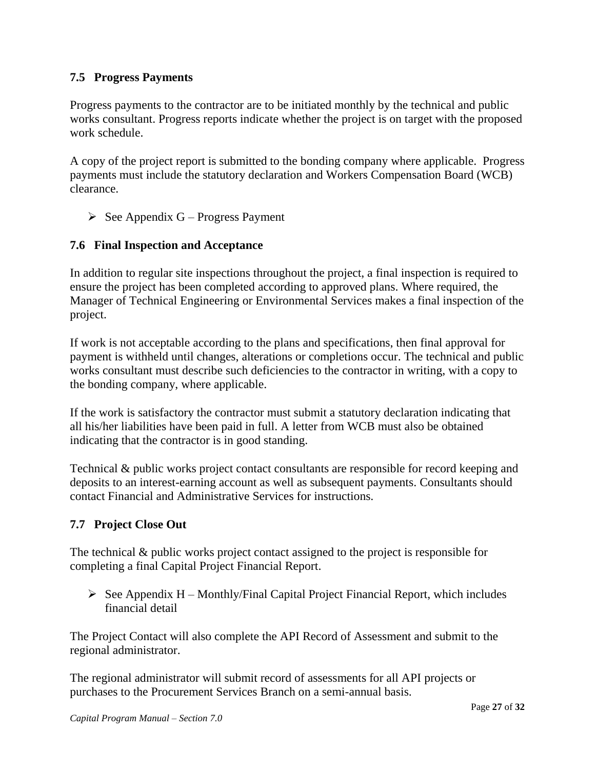### **7.5 Progress Payments**

Progress payments to the contractor are to be initiated monthly by the technical and public works consultant. Progress reports indicate whether the project is on target with the proposed work schedule.

A copy of the project report is submitted to the bonding company where applicable. Progress payments must include the statutory declaration and Workers Compensation Board (WCB) clearance.

 $\triangleright$  See Appendix G – Progress Payment

## **7.6 Final Inspection and Acceptance**

In addition to regular site inspections throughout the project, a final inspection is required to ensure the project has been completed according to approved plans. Where required, the Manager of Technical Engineering or Environmental Services makes a final inspection of the project.

If work is not acceptable according to the plans and specifications, then final approval for payment is withheld until changes, alterations or completions occur. The technical and public works consultant must describe such deficiencies to the contractor in writing, with a copy to the bonding company, where applicable.

If the work is satisfactory the contractor must submit a statutory declaration indicating that all his/her liabilities have been paid in full. A letter from WCB must also be obtained indicating that the contractor is in good standing.

Technical & public works project contact consultants are responsible for record keeping and deposits to an interest-earning account as well as subsequent payments. Consultants should contact Financial and Administrative Services for instructions.

## **7.7 Project Close Out**

The technical & public works project contact assigned to the project is responsible for completing a final Capital Project Financial Report.

 $\triangleright$  See Appendix H – Monthly/Final Capital Project Financial Report, which includes financial detail

The Project Contact will also complete the API Record of Assessment and submit to the regional administrator.

The regional administrator will submit record of assessments for all API projects or purchases to the Procurement Services Branch on a semi-annual basis.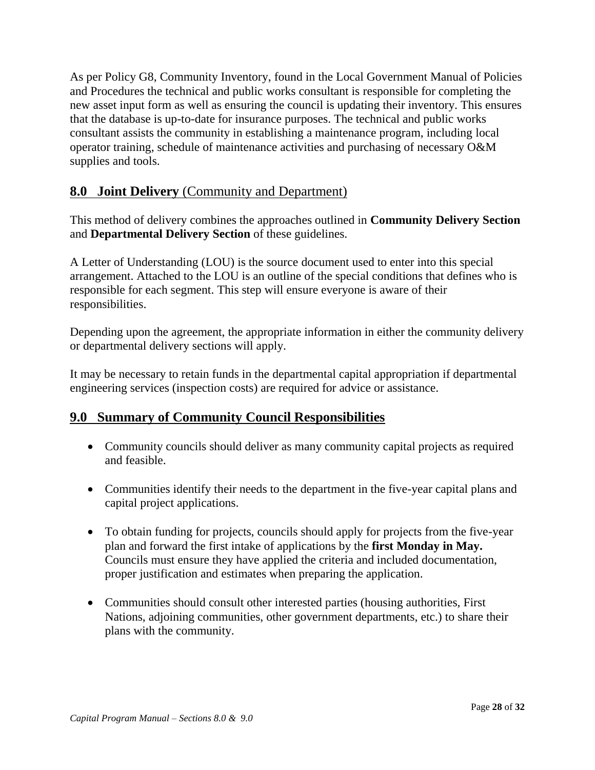As per Policy G8, Community Inventory, found in the Local Government Manual of Policies and Procedures the technical and public works consultant is responsible for completing the new asset input form as well as ensuring the council is updating their inventory. This ensures that the database is up-to-date for insurance purposes. The technical and public works consultant assists the community in establishing a maintenance program, including local operator training, schedule of maintenance activities and purchasing of necessary O&M supplies and tools.

# **8.0 Joint Delivery** (Community and Department)

This method of delivery combines the approaches outlined in **Community Delivery Section** and **Departmental Delivery Section** of these guidelines.

A Letter of Understanding (LOU) is the source document used to enter into this special arrangement. Attached to the LOU is an outline of the special conditions that defines who is responsible for each segment. This step will ensure everyone is aware of their responsibilities.

Depending upon the agreement, the appropriate information in either the community delivery or departmental delivery sections will apply.

It may be necessary to retain funds in the departmental capital appropriation if departmental engineering services (inspection costs) are required for advice or assistance.

## **9.0 Summary of Community Council Responsibilities**

- Community councils should deliver as many community capital projects as required and feasible.
- Communities identify their needs to the department in the five-year capital plans and capital project applications.
- To obtain funding for projects, councils should apply for projects from the five-year plan and forward the first intake of applications by the **first Monday in May.**  Councils must ensure they have applied the criteria and included documentation, proper justification and estimates when preparing the application.
- Communities should consult other interested parties (housing authorities, First Nations, adjoining communities, other government departments, etc.) to share their plans with the community.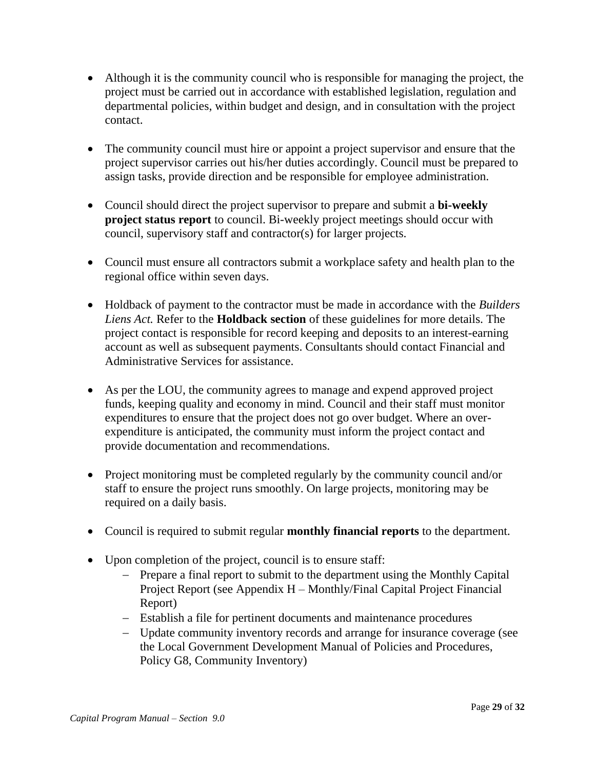- Although it is the community council who is responsible for managing the project, the project must be carried out in accordance with established legislation, regulation and departmental policies, within budget and design, and in consultation with the project contact.
- The community council must hire or appoint a project supervisor and ensure that the project supervisor carries out his/her duties accordingly. Council must be prepared to assign tasks, provide direction and be responsible for employee administration.
- Council should direct the project supervisor to prepare and submit a **bi-weekly project status report** to council. Bi-weekly project meetings should occur with council, supervisory staff and contractor(s) for larger projects.
- Council must ensure all contractors submit a workplace safety and health plan to the regional office within seven days.
- Holdback of payment to the contractor must be made in accordance with the *Builders Liens Act.* Refer to the **Holdback section** of these guidelines for more details. The project contact is responsible for record keeping and deposits to an interest-earning account as well as subsequent payments. Consultants should contact Financial and Administrative Services for assistance.
- As per the LOU, the community agrees to manage and expend approved project funds, keeping quality and economy in mind. Council and their staff must monitor expenditures to ensure that the project does not go over budget. Where an overexpenditure is anticipated, the community must inform the project contact and provide documentation and recommendations.
- Project monitoring must be completed regularly by the community council and/or staff to ensure the project runs smoothly. On large projects, monitoring may be required on a daily basis.
- Council is required to submit regular **monthly financial reports** to the department.
- Upon completion of the project, council is to ensure staff:
	- Prepare a final report to submit to the department using the Monthly Capital Project Report (see Appendix H – Monthly/Final Capital Project Financial Report)
	- Establish a file for pertinent documents and maintenance procedures
	- Update community inventory records and arrange for insurance coverage (see the Local Government Development Manual of Policies and Procedures, Policy G8, Community Inventory)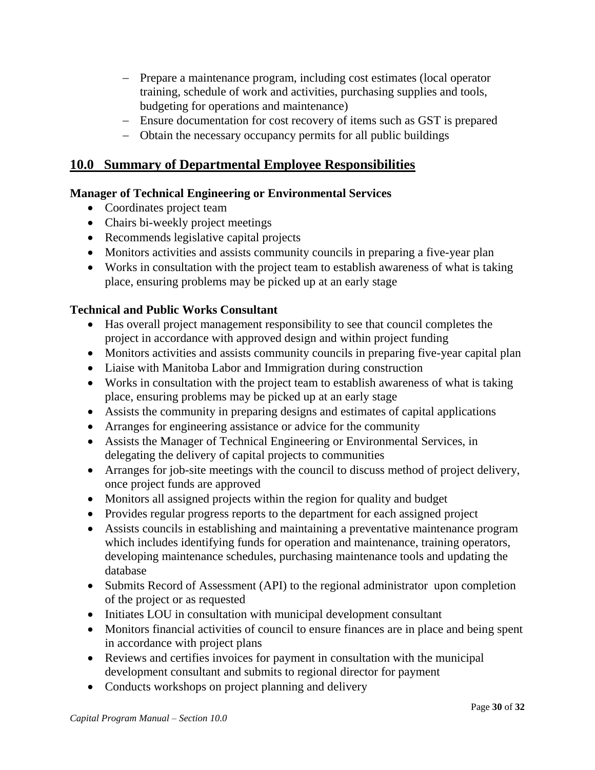- Prepare a maintenance program, including cost estimates (local operator training, schedule of work and activities, purchasing supplies and tools, budgeting for operations and maintenance)
- Ensure documentation for cost recovery of items such as GST is prepared
- Obtain the necessary occupancy permits for all public buildings

# **10.0 Summary of Departmental Employee Responsibilities**

### **Manager of Technical Engineering or Environmental Services**

- Coordinates project team
- Chairs bi-weekly project meetings
- Recommends legislative capital projects
- Monitors activities and assists community councils in preparing a five-year plan
- Works in consultation with the project team to establish awareness of what is taking place, ensuring problems may be picked up at an early stage

### **Technical and Public Works Consultant**

- Has overall project management responsibility to see that council completes the project in accordance with approved design and within project funding
- Monitors activities and assists community councils in preparing five-year capital plan
- Liaise with Manitoba Labor and Immigration during construction
- Works in consultation with the project team to establish awareness of what is taking place, ensuring problems may be picked up at an early stage
- Assists the community in preparing designs and estimates of capital applications
- Arranges for engineering assistance or advice for the community
- Assists the Manager of Technical Engineering or Environmental Services, in delegating the delivery of capital projects to communities
- Arranges for job-site meetings with the council to discuss method of project delivery, once project funds are approved
- Monitors all assigned projects within the region for quality and budget
- Provides regular progress reports to the department for each assigned project
- Assists councils in establishing and maintaining a preventative maintenance program which includes identifying funds for operation and maintenance, training operators, developing maintenance schedules, purchasing maintenance tools and updating the database
- Submits Record of Assessment (API) to the regional administrator upon completion of the project or as requested
- Initiates LOU in consultation with municipal development consultant
- Monitors financial activities of council to ensure finances are in place and being spent in accordance with project plans
- Reviews and certifies invoices for payment in consultation with the municipal development consultant and submits to regional director for payment
- Conducts workshops on project planning and delivery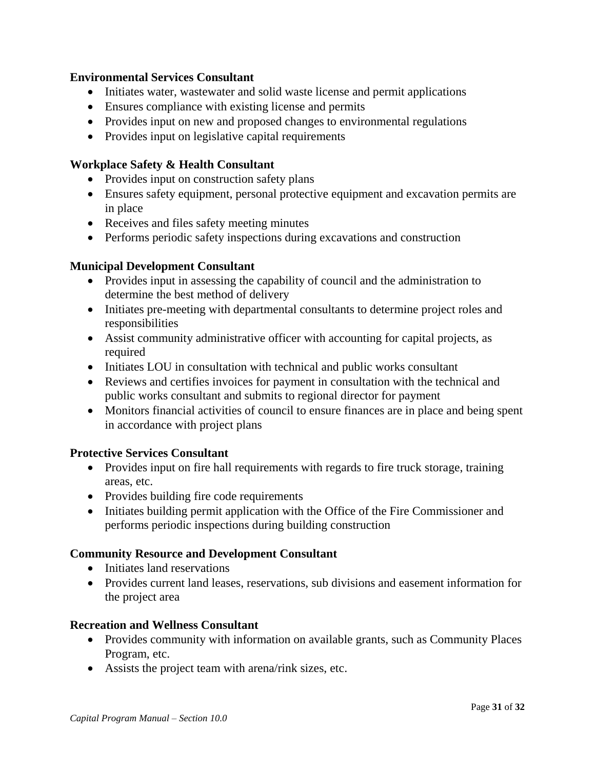#### **Environmental Services Consultant**

- Initiates water, wastewater and solid waste license and permit applications
- Ensures compliance with existing license and permits
- Provides input on new and proposed changes to environmental regulations
- Provides input on legislative capital requirements

### **Workplace Safety & Health Consultant**

- Provides input on construction safety plans
- Ensures safety equipment, personal protective equipment and excavation permits are in place
- Receives and files safety meeting minutes
- Performs periodic safety inspections during excavations and construction

#### **Municipal Development Consultant**

- Provides input in assessing the capability of council and the administration to determine the best method of delivery
- Initiates pre-meeting with departmental consultants to determine project roles and responsibilities
- Assist community administrative officer with accounting for capital projects, as required
- Initiates LOU in consultation with technical and public works consultant
- Reviews and certifies invoices for payment in consultation with the technical and public works consultant and submits to regional director for payment
- Monitors financial activities of council to ensure finances are in place and being spent in accordance with project plans

#### **Protective Services Consultant**

- Provides input on fire hall requirements with regards to fire truck storage, training areas, etc.
- Provides building fire code requirements
- Initiates building permit application with the Office of the Fire Commissioner and performs periodic inspections during building construction

#### **Community Resource and Development Consultant**

- Initiates land reservations
- Provides current land leases, reservations, sub divisions and easement information for the project area

#### **Recreation and Wellness Consultant**

- Provides community with information on available grants, such as Community Places Program, etc.
- Assists the project team with arena/rink sizes, etc.